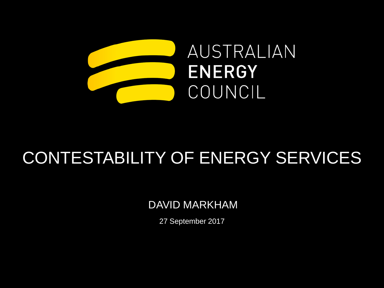

## CONTESTABILITY OF ENERGY SERVICES

DAVID MARKHAM

27 September 2017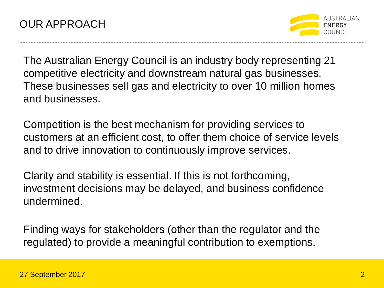

The Australian Energy Council is an industry body representing 21 competitive electricity and downstream natural gas businesses. These businesses sell gas and electricity to over 10 million homes and businesses.

Competition is the best mechanism for providing services to customers at an efficient cost, to offer them choice of service levels and to drive innovation to continuously improve services.

Clarity and stability is essential. If this is not forthcoming, investment decisions may be delayed, and business confidence undermined.

Finding ways for stakeholders (other than the regulator and the regulated) to provide a meaningful contribution to exemptions.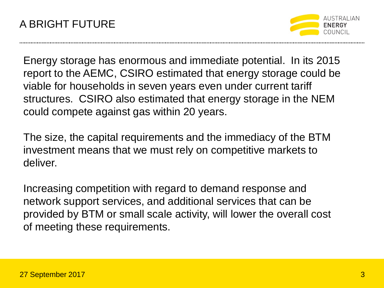

Energy storage has enormous and immediate potential. In its 2015 report to the AEMC, CSIRO estimated that energy storage could be viable for households in seven years even under current tariff structures. CSIRO also estimated that energy storage in the NEM could compete against gas within 20 years.

The size, the capital requirements and the immediacy of the BTM investment means that we must rely on competitive markets to deliver.

Increasing competition with regard to demand response and network support services, and additional services that can be provided by BTM or small scale activity, will lower the overall cost of meeting these requirements.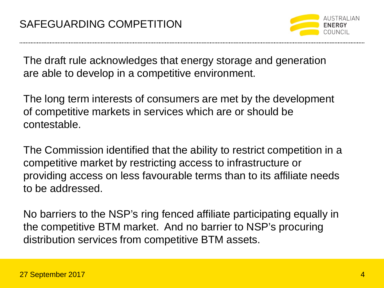

The draft rule acknowledges that energy storage and generation are able to develop in a competitive environment.

The long term interests of consumers are met by the development of competitive markets in services which are or should be contestable.

The Commission identified that the ability to restrict competition in a competitive market by restricting access to infrastructure or providing access on less favourable terms than to its affiliate needs to be addressed.

No barriers to the NSP's ring fenced affiliate participating equally in the competitive BTM market. And no barrier to NSP's procuring distribution services from competitive BTM assets.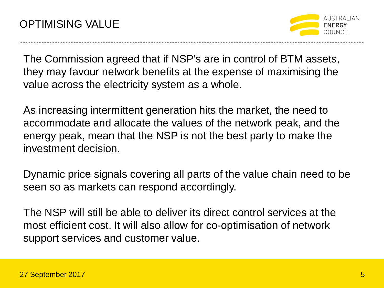

The Commission agreed that if NSP's are in control of BTM assets, they may favour network benefits at the expense of maximising the value across the electricity system as a whole.

As increasing intermittent generation hits the market, the need to accommodate and allocate the values of the network peak, and the energy peak, mean that the NSP is not the best party to make the investment decision.

Dynamic price signals covering all parts of the value chain need to be seen so as markets can respond accordingly.

The NSP will still be able to deliver its direct control services at the most efficient cost. It will also allow for co-optimisation of network support services and customer value.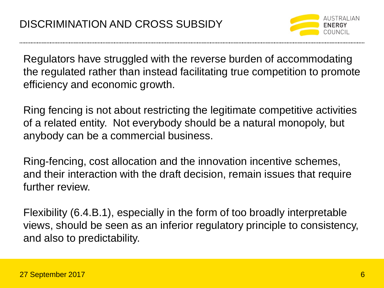

Regulators have struggled with the reverse burden of accommodating the regulated rather than instead facilitating true competition to promote efficiency and economic growth.

Ring fencing is not about restricting the legitimate competitive activities of a related entity. Not everybody should be a natural monopoly, but anybody can be a commercial business.

Ring-fencing, cost allocation and the innovation incentive schemes, and their interaction with the draft decision, remain issues that require further review.

Flexibility (6.4.B.1), especially in the form of too broadly interpretable views, should be seen as an inferior regulatory principle to consistency, and also to predictability.